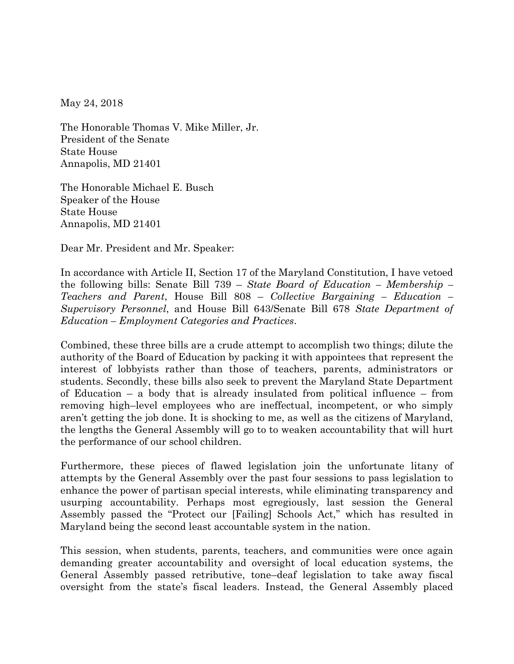May 24, 2018

The Honorable Thomas V. Mike Miller, Jr. President of the Senate State House Annapolis, MD 21401

The Honorable Michael E. Busch Speaker of the House State House Annapolis, MD 21401

Dear Mr. President and Mr. Speaker:

In accordance with Article II, Section 17 of the Maryland Constitution, I have vetoed the following bills: Senate Bill 739 – *State Board of Education – Membership – Teachers and Parent*, House Bill 808 – *Collective Bargaining – Education – Supervisory Personnel*, and House Bill 643/Senate Bill 678 *State Department of Education – Employment Categories and Practices*.

Combined, these three bills are a crude attempt to accomplish two things; dilute the authority of the Board of Education by packing it with appointees that represent the interest of lobbyists rather than those of teachers, parents, administrators or students. Secondly, these bills also seek to prevent the Maryland State Department of Education – a body that is already insulated from political influence – from removing high–level employees who are ineffectual, incompetent, or who simply aren't getting the job done. It is shocking to me, as well as the citizens of Maryland, the lengths the General Assembly will go to to weaken accountability that will hurt the performance of our school children.

Furthermore, these pieces of flawed legislation join the unfortunate litany of attempts by the General Assembly over the past four sessions to pass legislation to enhance the power of partisan special interests, while eliminating transparency and usurping accountability. Perhaps most egregiously, last session the General Assembly passed the "Protect our [Failing] Schools Act," which has resulted in Maryland being the second least accountable system in the nation.

This session, when students, parents, teachers, and communities were once again demanding greater accountability and oversight of local education systems, the General Assembly passed retributive, tone–deaf legislation to take away fiscal oversight from the state's fiscal leaders. Instead, the General Assembly placed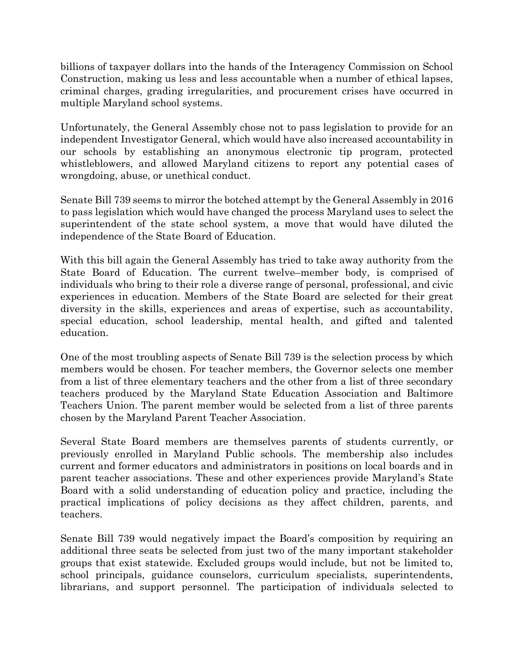billions of taxpayer dollars into the hands of the Interagency Commission on School Construction, making us less and less accountable when a number of ethical lapses, criminal charges, grading irregularities, and procurement crises have occurred in multiple Maryland school systems.

Unfortunately, the General Assembly chose not to pass legislation to provide for an independent Investigator General, which would have also increased accountability in our schools by establishing an anonymous electronic tip program, protected whistleblowers, and allowed Maryland citizens to report any potential cases of wrongdoing, abuse, or unethical conduct.

Senate Bill 739 seems to mirror the botched attempt by the General Assembly in 2016 to pass legislation which would have changed the process Maryland uses to select the superintendent of the state school system, a move that would have diluted the independence of the State Board of Education.

With this bill again the General Assembly has tried to take away authority from the State Board of Education. The current twelve–member body, is comprised of individuals who bring to their role a diverse range of personal, professional, and civic experiences in education. Members of the State Board are selected for their great diversity in the skills, experiences and areas of expertise, such as accountability, special education, school leadership, mental health, and gifted and talented education.

One of the most troubling aspects of Senate Bill 739 is the selection process by which members would be chosen. For teacher members, the Governor selects one member from a list of three elementary teachers and the other from a list of three secondary teachers produced by the Maryland State Education Association and Baltimore Teachers Union. The parent member would be selected from a list of three parents chosen by the Maryland Parent Teacher Association.

Several State Board members are themselves parents of students currently, or previously enrolled in Maryland Public schools. The membership also includes current and former educators and administrators in positions on local boards and in parent teacher associations. These and other experiences provide Maryland's State Board with a solid understanding of education policy and practice, including the practical implications of policy decisions as they affect children, parents, and teachers.

Senate Bill 739 would negatively impact the Board's composition by requiring an additional three seats be selected from just two of the many important stakeholder groups that exist statewide. Excluded groups would include, but not be limited to, school principals, guidance counselors, curriculum specialists, superintendents, librarians, and support personnel. The participation of individuals selected to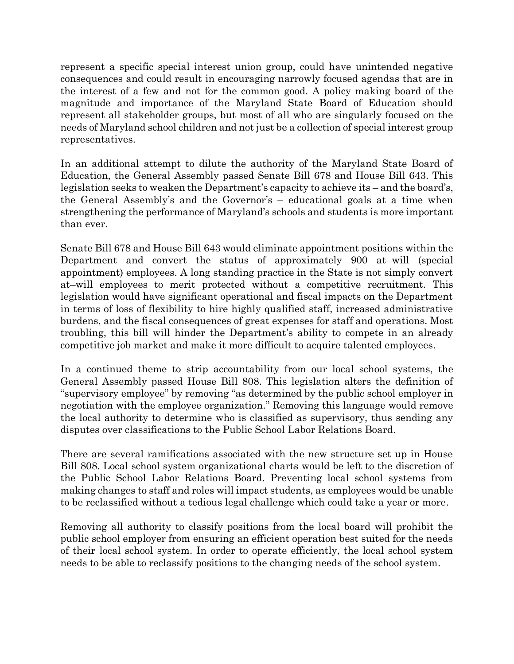represent a specific special interest union group, could have unintended negative consequences and could result in encouraging narrowly focused agendas that are in the interest of a few and not for the common good. A policy making board of the magnitude and importance of the Maryland State Board of Education should represent all stakeholder groups, but most of all who are singularly focused on the needs of Maryland school children and not just be a collection of special interest group representatives.

In an additional attempt to dilute the authority of the Maryland State Board of Education, the General Assembly passed Senate Bill 678 and House Bill 643. This legislation seeks to weaken the Department's capacity to achieve its – and the board's, the General Assembly's and the Governor's – educational goals at a time when strengthening the performance of Maryland's schools and students is more important than ever.

Senate Bill 678 and House Bill 643 would eliminate appointment positions within the Department and convert the status of approximately 900 at–will (special appointment) employees. A long standing practice in the State is not simply convert at–will employees to merit protected without a competitive recruitment. This legislation would have significant operational and fiscal impacts on the Department in terms of loss of flexibility to hire highly qualified staff, increased administrative burdens, and the fiscal consequences of great expenses for staff and operations. Most troubling, this bill will hinder the Department's ability to compete in an already competitive job market and make it more difficult to acquire talented employees.

In a continued theme to strip accountability from our local school systems, the General Assembly passed House Bill 808. This legislation alters the definition of "supervisory employee" by removing "as determined by the public school employer in negotiation with the employee organization." Removing this language would remove the local authority to determine who is classified as supervisory, thus sending any disputes over classifications to the Public School Labor Relations Board.

There are several ramifications associated with the new structure set up in House Bill 808. Local school system organizational charts would be left to the discretion of the Public School Labor Relations Board. Preventing local school systems from making changes to staff and roles will impact students, as employees would be unable to be reclassified without a tedious legal challenge which could take a year or more.

Removing all authority to classify positions from the local board will prohibit the public school employer from ensuring an efficient operation best suited for the needs of their local school system. In order to operate efficiently, the local school system needs to be able to reclassify positions to the changing needs of the school system.